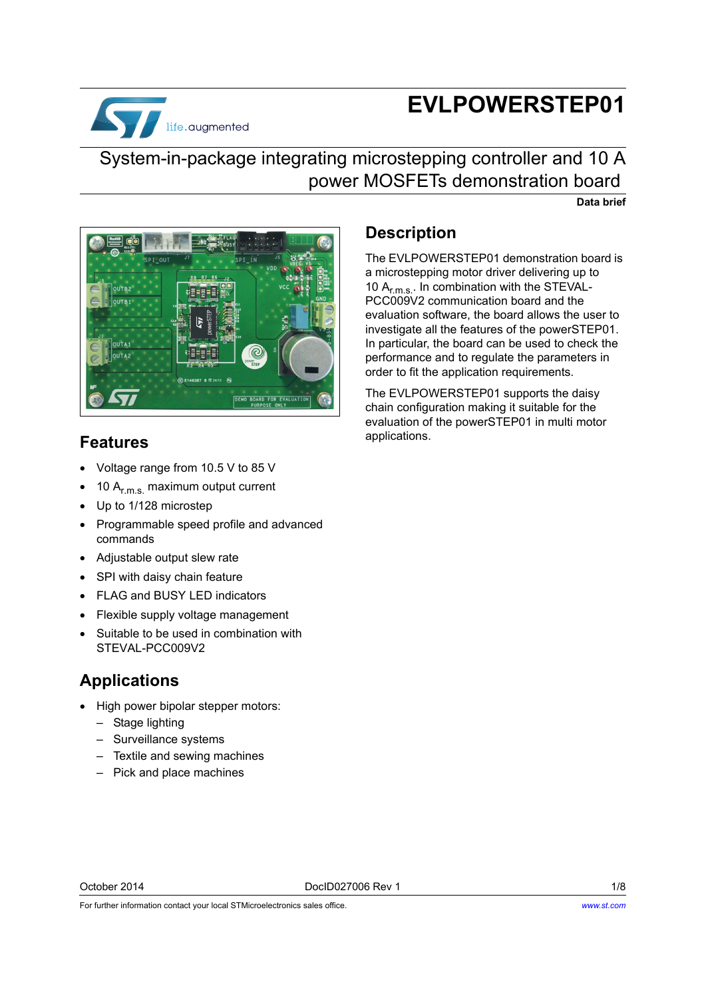

# **EVLPOWERSTEP01**

## System-in-package integrating microstepping controller and 10 A power MOSFETs demonstration board

**Data brief**



### **Features**

- Voltage range from 10.5 V to 85 V
- 10 Ar.m.s. maximum output current
- Up to 1/128 microstep
- Programmable speed profile and advanced commands
- Adjustable output slew rate
- SPI with daisy chain feature
- FLAG and BUSY LED indicators
- Flexible supply voltage management
- Suitable to be used in combination with STEVAL-PCC009V2

### **Applications**

- High power bipolar stepper motors:
	- Stage lighting
	- Surveillance systems
	- Textile and sewing machines
	- Pick and place machines

### **Description**

The EVLPOWERSTEP01 demonstration board is a microstepping motor driver delivering up to 10  $A_{r.m.s.}$ . In combination with the STEVAL-PCC009V2 communication board and the evaluation software, the board allows the user to investigate all the features of the powerSTEP01. In particular, the board can be used to check the performance and to regulate the parameters in order to fit the application requirements.

The EVLPOWERSTEP01 supports the daisy chain configuration making it suitable for the evaluation of the powerSTEP01 in multi motor applications.

October 2014 DocID027006 Rev 1 1/8

For further information contact your local STMicroelectronics sales office.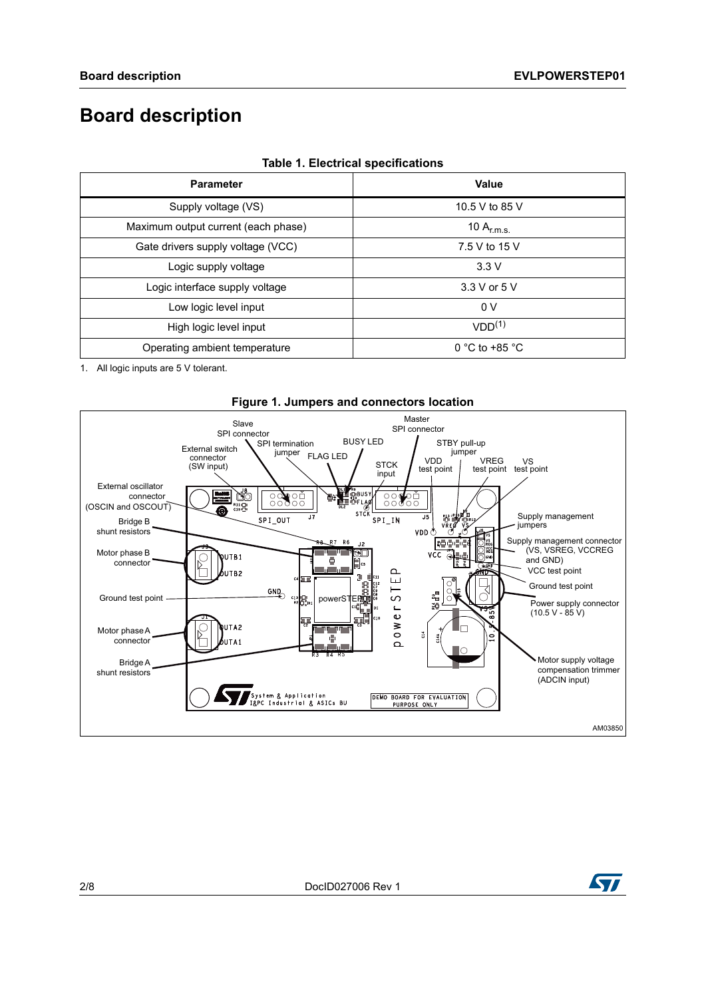## **Board description**

| <b>Parameter</b>                    | <b>Value</b>       |  |
|-------------------------------------|--------------------|--|
| Supply voltage (VS)                 | 10.5 V to 85 V     |  |
| Maximum output current (each phase) | 10 $A_{r.m.s.}$    |  |
| Gate drivers supply voltage (VCC)   | 7.5 V to 15 V      |  |
| Logic supply voltage                | 3.3V               |  |
| Logic interface supply voltage      | 3.3 V or 5 V       |  |
| Low logic level input               | 0 V                |  |
| High logic level input              | VDD <sup>(1)</sup> |  |
| Operating ambient temperature       | 0 °C to +85 °C     |  |

#### **Table 1. Electrical specifications**

1. All logic inputs are 5 V tolerant.





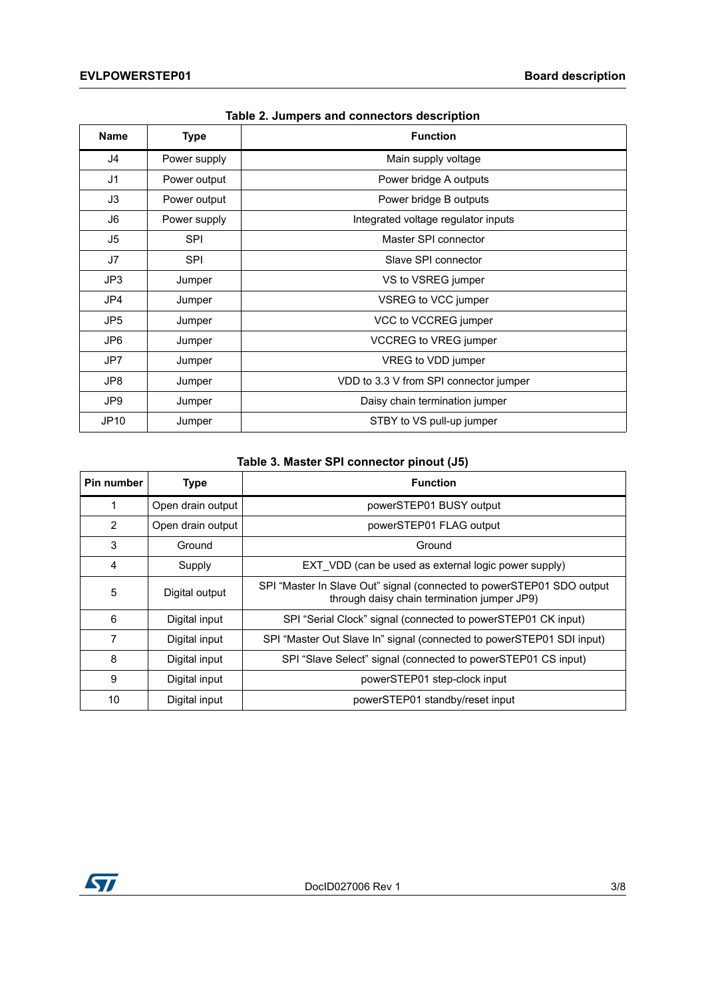| <b>Name</b> | <b>Type</b>  | <b>Function</b>                        |
|-------------|--------------|----------------------------------------|
| J4          | Power supply | Main supply voltage                    |
| J1          | Power output | Power bridge A outputs                 |
| J3          | Power output | Power bridge B outputs                 |
| J6          | Power supply | Integrated voltage regulator inputs    |
| J5          | <b>SPI</b>   | Master SPI connector                   |
| J7          | SPI          | Slave SPI connector                    |
| JP3         | Jumper       | VS to VSREG jumper                     |
| JP4         | Jumper       | VSREG to VCC jumper                    |
| JP5         | Jumper       | VCC to VCCREG jumper                   |
| JP6         | Jumper       | <b>VCCREG to VREG jumper</b>           |
| JP7         | Jumper       | VREG to VDD jumper                     |
| JP8         | Jumper       | VDD to 3.3 V from SPI connector jumper |
| JP9         | Jumper       | Daisy chain termination jumper         |
| JP10        | Jumper       | STBY to VS pull-up jumper              |

#### **Table 2. Jumpers and connectors description**

### **Table 3. Master SPI connector pinout (J5)**

| Pin number | <b>Type</b>       | <b>Function</b>                                                                                                      |  |
|------------|-------------------|----------------------------------------------------------------------------------------------------------------------|--|
| 1          | Open drain output | powerSTEP01 BUSY output                                                                                              |  |
| 2          | Open drain output | powerSTEP01 FLAG output                                                                                              |  |
| 3          | Ground            | Ground                                                                                                               |  |
| 4          | Supply            | EXT VDD (can be used as external logic power supply)                                                                 |  |
| 5          | Digital output    | SPI "Master In Slave Out" signal (connected to powerSTEP01 SDO output<br>through daisy chain termination jumper JP9) |  |
| 6          | Digital input     | SPI "Serial Clock" signal (connected to powerSTEP01 CK input)                                                        |  |
| 7          | Digital input     | SPI "Master Out Slave In" signal (connected to powerSTEP01 SDI input)                                                |  |
| 8          | Digital input     | SPI "Slave Select" signal (connected to powerSTEP01 CS input)                                                        |  |
| 9          | Digital input     | powerSTEP01 step-clock input                                                                                         |  |
| 10         | Digital input     | powerSTEP01 standby/reset input                                                                                      |  |

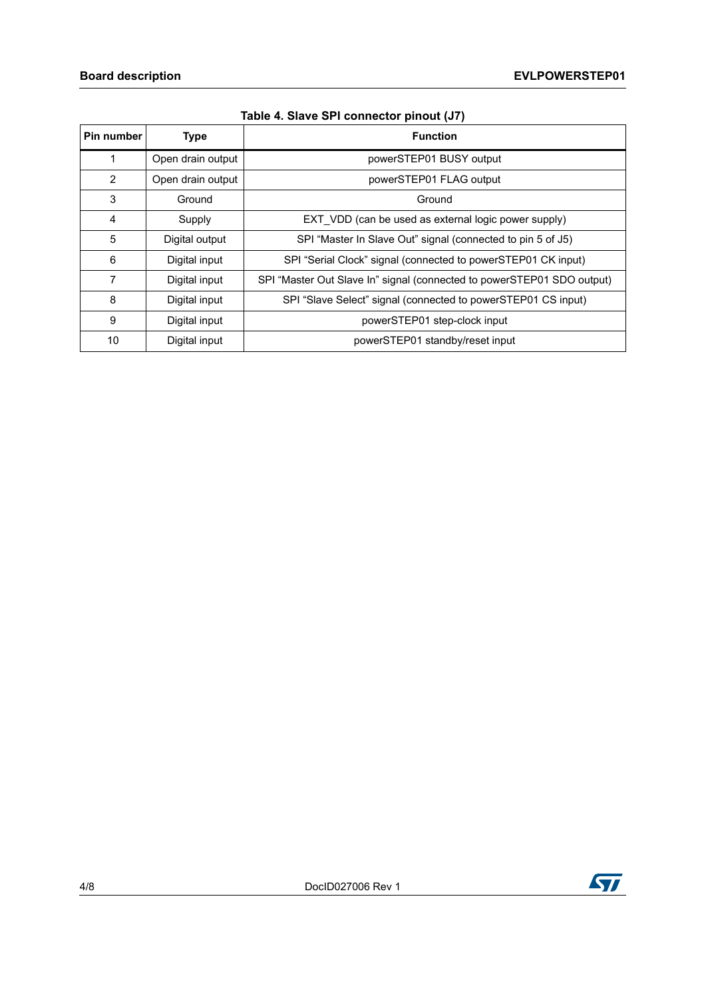| Pin number | <b>Type</b>       | <b>Function</b>                                                        |  |
|------------|-------------------|------------------------------------------------------------------------|--|
| 1          | Open drain output | powerSTEP01 BUSY output                                                |  |
| 2          | Open drain output | powerSTEP01 FLAG output                                                |  |
| 3          | Ground            | Ground                                                                 |  |
| 4          | Supply            | EXT VDD (can be used as external logic power supply)                   |  |
| 5          | Digital output    | SPI "Master In Slave Out" signal (connected to pin 5 of J5)            |  |
| 6          | Digital input     | SPI "Serial Clock" signal (connected to powerSTEP01 CK input)          |  |
| 7          | Digital input     | SPI "Master Out Slave In" signal (connected to powerSTEP01 SDO output) |  |
| 8          | Digital input     | SPI "Slave Select" signal (connected to powerSTEP01 CS input)          |  |
| 9          | Digital input     | powerSTEP01 step-clock input                                           |  |
| 10         | Digital input     | powerSTEP01 standby/reset input                                        |  |

|  | Table 4. Slave SPI connector pinout (J7) |  |  |
|--|------------------------------------------|--|--|
|  |                                          |  |  |

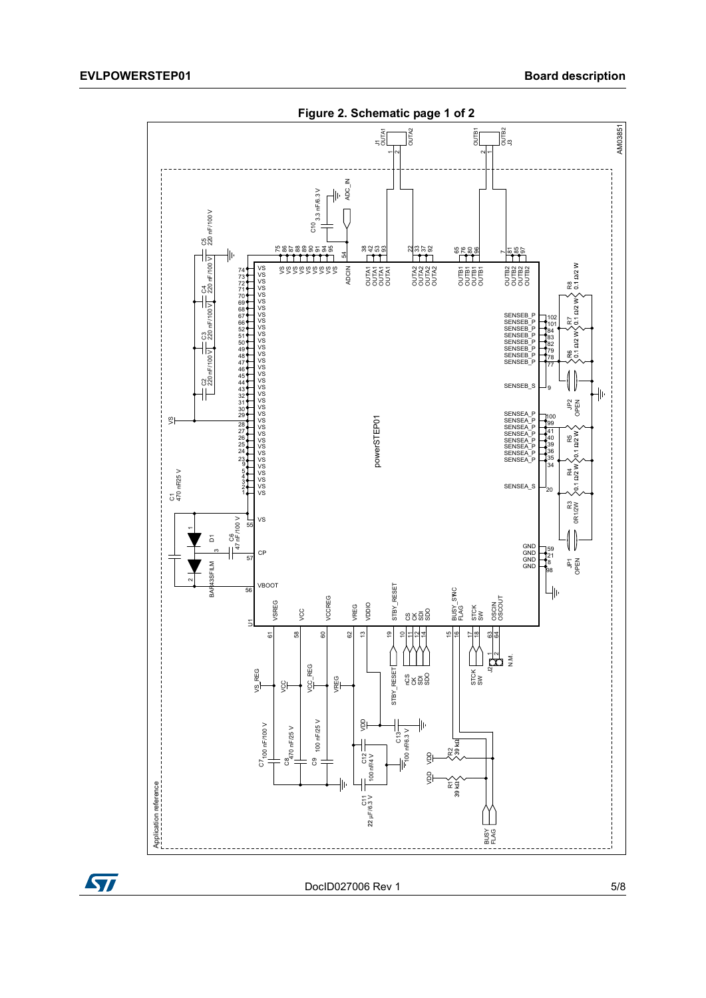



DocID027006 Rev 1 5/8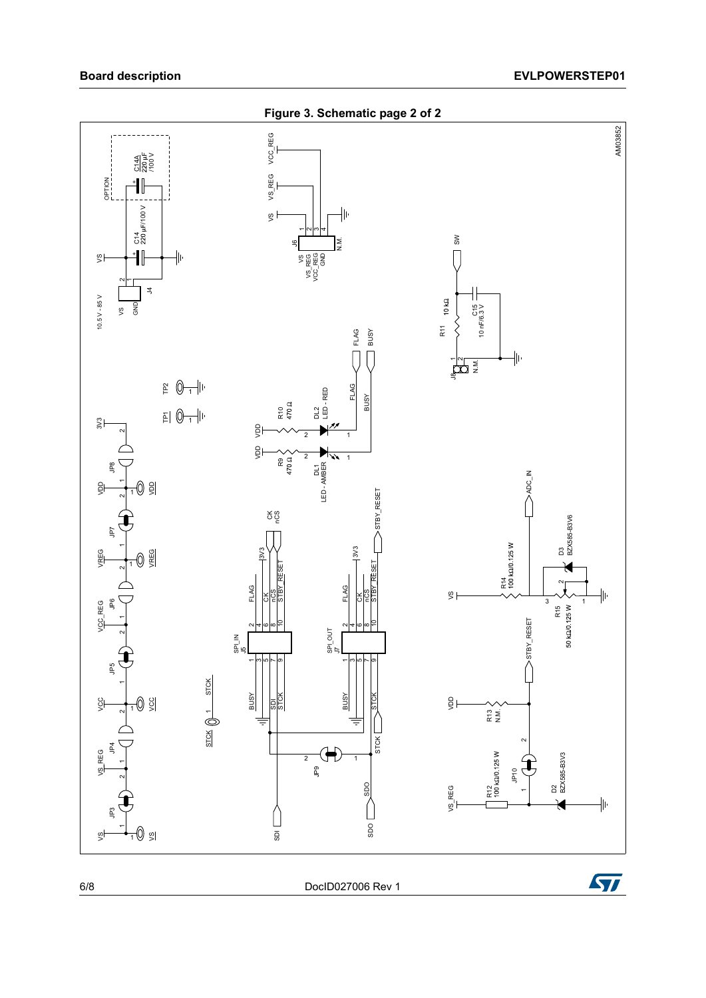

6/8 DocID027006 Rev 1

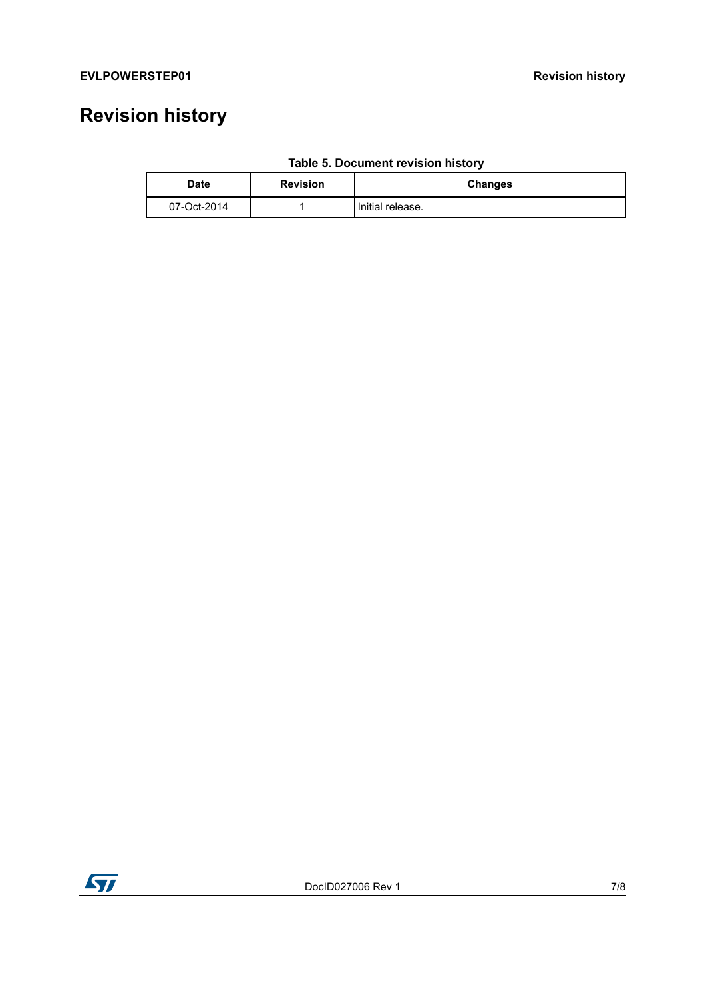# **Revision history**

| <b>Date</b> | <b>Revision</b> | <b>Changes</b>   |
|-------------|-----------------|------------------|
| 07-Oct-2014 |                 | Initial release. |

### **Table 5. Document revision history**